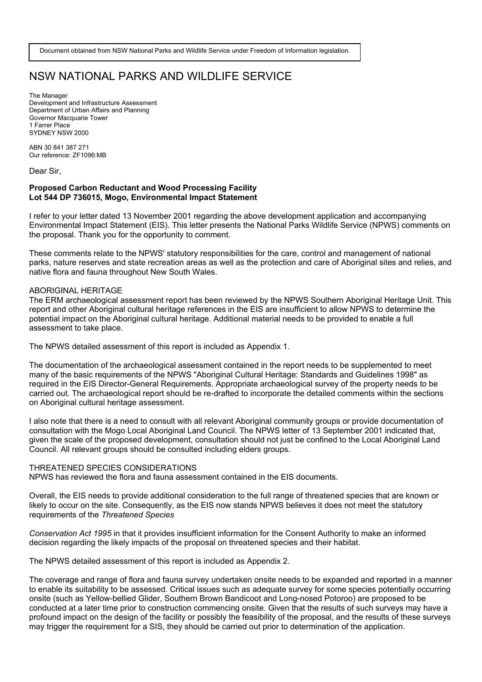# NSW NATIONAL PARKS AND WILDLIFE SERVICE

The Manager Development and Infrastructure Assessment Department of Urban Affairs and Planning Governor Macquarie Tower 1 Farrer Place SYDNEY NSW 2000

ABN 30 841 387 271 Our reference: ZF1096:MB

Dear Sir,

## **Proposed Carbon Reductant and Wood Processing Facility Lot 544 DP 736015, Mogo, Environmental Impact Statement**

I refer to your letter dated 13 November 2001 regarding the above development application and accompanying Environmental Impact Statement (EIS). This letter presents the National Parks Wildlife Service (NPWS) comments on the proposal. Thank you for the opportunity to comment.

These comments relate to the NPWS' statutory responsibilities for the care, control and management of national parks, nature reserves and state recreation areas as well as the protection and care of Aboriginal sites and relies, and native flora and fauna throughout New South Wales.

#### ABORIGINAL HERITAGE

The ERM archaeological assessment report has been reviewed by the NPWS Southern Aboriginal Heritage Unit. This report and other Aboriginal cultural heritage references in the EIS are insufficient to allow NPWS to determine the potential impact on the Aboriginal cultural heritage. Additional material needs to be provided to enable a full assessment to take place.

The NPWS detailed assessment of this report is included as Appendix 1.

The documentation of the archaeological assessment contained in the report needs to be supplemented to meet many of the basic requirements of the NPWS "Aboriginal Cultural Heritage: Standards and Guidelines 1998" as required in the EIS Director-General Requirements. Appropriate archaeological survey of the property needs to be carried out. The archaeological report should be re-drafted to incorporate the detailed comments within the sections on Aboriginal cultural heritage assessment.

I also note that there is a need to consult with all relevant Aboriginal community groups or provide documentation of consultation with the Mogo Local Aboriginal Land Council. The NPWS letter of 13 September 2001 indicated that, given the scale of the proposed development, consultation should not just be confined to the Local Aboriginal Land Council. All relevant groups should be consulted including elders groups.

### THREATENED SPECIES CONSIDERATIONS

NPWS has reviewed the flora and fauna assessment contained in the EIS documents.

Overall, the EIS needs to provide additional consideration to the full range of threatened species that are known or likely to occur on the site. Consequently, as the EIS now stands NPWS believes it does not meet the statutory requirements of the *Threatened Species* 

*Conservation Act 1995* in that it provides insufficient information for the Consent Authority to make an informed decision regarding the likely impacts of the proposal on threatened species and their habitat.

The NPWS detailed assessment of this report is included as Appendix 2.

The coverage and range of flora and fauna survey undertaken onsite needs to be expanded and reported in a manner to enable its suitability to be assessed. Critical issues such as adequate survey for some species potentially occurring onsite (such as Yellow-bellied Glider, Southern Brown Bandicoot and Long-nosed Potoroo) are proposed to be conducted at a later time prior to construction commencing onsite. Given that the results of such surveys may have a profound impact on the design of the facility or possibly the feasibility of the proposal, and the results of these surveys may trigger the requirement for a SIS, they should be carried out prior to determination of the application.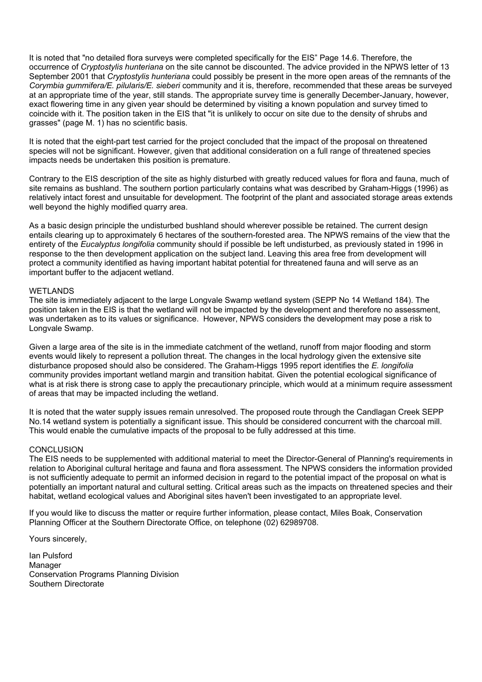It is noted that "no detailed flora surveys were completed specifically for the EIS" Page 14.6. Therefore, the occurrence of *Cryptostylis hunteriana* on the site cannot be discounted. The advice provided in the NPWS letter of 13 September 2001 that *Cryptostylis hunteriana* could possibly be present in the more open areas of the remnants of the *Corymbia gummifera/E. pilularis/E. sieberi* community and it is, therefore, recommended that these areas be surveyed at an appropriate time of the year, still stands. The appropriate survey time is generally December-January, however, exact flowering time in any given year should be determined by visiting a known population and survey timed to coincide with it. The position taken in the EIS that "it is unlikely to occur on site due to the density of shrubs and grasses" (page M. 1) has no scientific basis.

It is noted that the eight-part test carried for the project concluded that the impact of the proposal on threatened species will not be significant. However, given that additional consideration on a full range of threatened species impacts needs be undertaken this position is premature.

Contrary to the EIS description of the site as highly disturbed with greatly reduced values for flora and fauna, much of site remains as bushland. The southern portion particularly contains what was described by Graham-Higgs (1996) as relatively intact forest and unsuitable for development. The footprint of the plant and associated storage areas extends well beyond the highly modified quarry area.

As a basic design principle the undisturbed bushland should wherever possible be retained. The current design entails clearing up to approximately 6 hectares of the southern-forested area. The NPWS remains of the view that the entirety of the *Eucalyptus longifolia* community should if possible be left undisturbed, as previously stated in 1996 in response to the then development application on the subject land. Leaving this area free from development will protect a community identified as having important habitat potential for threatened fauna and will serve as an important buffer to the adjacent wetland.

### WETLANDS

The site is immediately adjacent to the large Longvale Swamp wetland system (SEPP No 14 Wetland 184). The position taken in the EIS is that the wetland will not be impacted by the development and therefore no assessment, was undertaken as to its values or significance. However, NPWS considers the development may pose a risk to Longvale Swamp.

Given a large area of the site is in the immediate catchment of the wetland, runoff from major flooding and storm events would likely to represent a pollution threat. The changes in the local hydrology given the extensive site disturbance proposed should also be considered. The Graham-Higgs 1995 report identifies the *E. longifolia* community provides important wetland margin and transition habitat. Given the potential ecological significance of what is at risk there is strong case to apply the precautionary principle, which would at a minimum require assessment of areas that may be impacted including the wetland.

It is noted that the water supply issues remain unresolved. The proposed route through the Candlagan Creek SEPP No.14 wetland system is potentially a significant issue. This should be considered concurrent with the charcoal mill. This would enable the cumulative impacts of the proposal to be fully addressed at this time.

### **CONCLUSION**

The EIS needs to be supplemented with additional material to meet the Director-General of Planning's requirements in relation to Aboriginal cultural heritage and fauna and flora assessment. The NPWS considers the information provided is not sufficiently adequate to permit an informed decision in regard to the potential impact of the proposal on what is potentially an important natural and cultural setting. Critical areas such as the impacts on threatened species and their habitat, wetland ecological values and Aboriginal sites haven't been investigated to an appropriate level.

If you would like to discuss the matter or require further information, please contact, Miles Boak, Conservation Planning Officer at the Southern Directorate Office, on telephone (02) 62989708.

Yours sincerely,

Ian Pulsford Manager Conservation Programs Planning Division Southern Directorate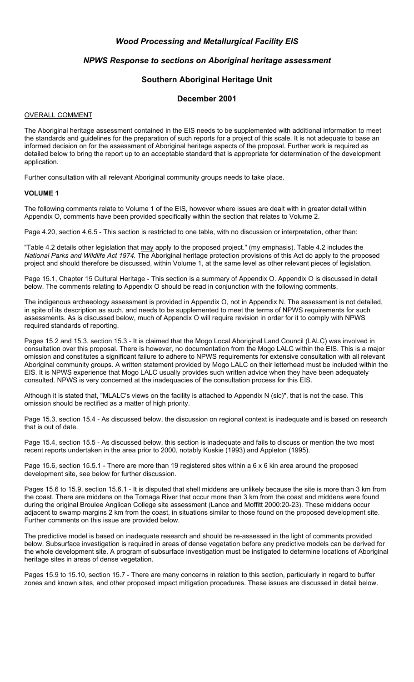# *Wood Processing and Metallurgical Facility EIS*

# *NPWS Response to sections on Aboriginal heritage assessment*

# **Southern Aboriginal Heritage Unit**

# **December 2001**

## OVERALL COMMENT

The Aboriginal heritage assessment contained in the EIS needs to be supplemented with additional information to meet the standards and guidelines for the preparation of such reports for a project of this scale. It is not adequate to base an informed decision on for the assessment of Aboriginal heritage aspects of the proposal. Further work is required as detailed below to bring the report up to an acceptable standard that is appropriate for determination of the development application.

Further consultation with all relevant Aboriginal community groups needs to take place.

## **VOLUME 1**

The following comments relate to Volume 1 of the EIS, however where issues are dealt with in greater detail within Appendix O, comments have been provided specifically within the section that relates to Volume 2.

Page 4.20, section 4.6.5 - This section is restricted to one table, with no discussion or interpretation, other than:

"Table 4.2 details other legislation that may apply to the proposed project." (my emphasis). Table 4.2 includes the *National Parks and Wildlife Act 1974.* The Aboriginal heritage protection provisions of this Act do apply to the proposed project and should therefore be discussed, within Volume 1, at the same level as other relevant pieces of legislation.

Page 15.1, Chapter 15 Cultural Heritage - This section is a summary of Appendix O. Appendix O is discussed in detail below. The comments relating to Appendix O should be read in conjunction with the following comments.

The indigenous archaeology assessment is provided in Appendix O, not in Appendix N. The assessment is not detailed, in spite of its description as such, and needs to be supplemented to meet the terms of NPWS requirements for such assessments. As is discussed below, much of Appendix O will require revision in order for it to comply with NPWS required standards of reporting.

Pages 15.2 and 15.3, section 15.3 - It is claimed that the Mogo Local Aboriginal Land Council (LALC) was involved in consultation over this proposal. There is however, no documentation from the Mogo LALC within the EIS. This is a major omission and constitutes a significant failure to adhere to NPWS requirements for extensive consultation with all relevant Aboriginal community groups. A written statement provided by Mogo LALC on their letterhead must be included within the EIS. It is NPWS experience that Mogo LALC usually provides such written advice when they have been adequately consulted. NPWS is very concerned at the inadequacies of the consultation process for this EIS.

Although it is stated that, "MLALC's views on the facility is attached to Appendix N (sic)", that is not the case. This omission should be rectified as a matter of high priority.

Page 15.3, section 15.4 - As discussed below, the discussion on regional context is inadequate and is based on research that is out of date.

Page 15.4, section 15.5 - As discussed below, this section is inadequate and fails to discuss or mention the two most recent reports undertaken in the area prior to 2000, notably Kuskie (1993) and Appleton (1995).

Page 15.6, section 15.5.1 - There are more than 19 registered sites within a 6 x 6 kin area around the proposed development site, see below for further discussion.

Pages 15.6 to 15.9, section 15.6.1 - It is disputed that shell middens are unlikely because the site is more than 3 km from the coast. There are middens on the Tomaga River that occur more than 3 km from the coast and middens were found during the original Broulee Anglican College site assessment (Lance and Moffitt 2000:20-23). These middens occur adjacent to swamp margins 2 km from the coast, in situations similar to those found on the proposed development site. Further comments on this issue are provided below.

The predictive model is based on inadequate research and should be re-assessed in the light of comments provided below. Subsurface investigation is required in areas of dense vegetation before any predictive models can be derived for the whole development site. A program of subsurface investigation must be instigated to determine locations of Aboriginal heritage sites in areas of dense vegetation.

Pages 15.9 to 15.10, section 15.7 - There are many concerns in relation to this section, particularly in regard to buffer zones and known sites, and other proposed impact mitigation procedures. These issues are discussed in detail below.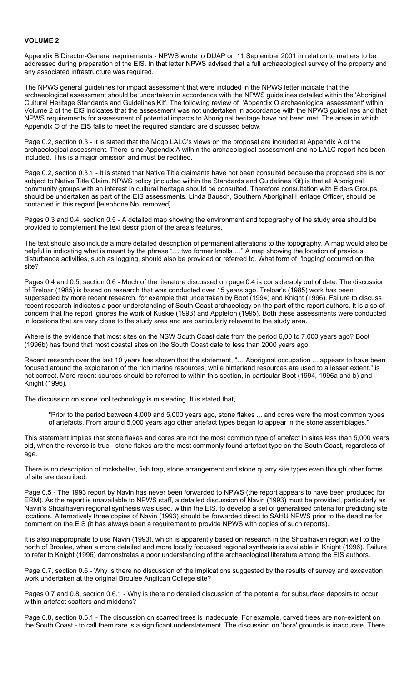## **VOLUME 2**

Appendix B Director-General requirements - NPWS wrote to DUAP on 11 September 2001 in relation to matters to be addressed during preparation of the EIS. In that letter NPWS advised that a full archaeological survey of the property and any associated infrastructure was required.

The NPWS general guidelines for impact assessment that were included in the NPWS letter indicate that the archaeological assessment should be undertaken in accordance with the NPWS guidelines detailed within the 'Aboriginal Cultural Heritage Standards and Guidelines Kit'. The following review of 'Appendix O archaeological assessment' within Volume 2 of the EIS indicates that the assessment was not undertaken in accordance with the NPWS guidelines and that NPWS requirements for assessment of potential impacts to Aboriginal heritage have not been met. The areas in which Appendix O of the EIS fails to meet the required standard are discussed below.

Page 0.2, section 0.3 - It is stated that the Mogo LALC's views on the proposal are included at Appendix A of the archaeological assessment. There is no Appendix A within the archaeological assessment and no LALC report has been included. This is a major omission and must be rectified.

Page 0.2, section 0.3.1 - It is stated that Native Title claimants have not been consulted because the proposed site is not subject to Native Title Claim. NPWS policy (included within the Standards and Guidelines Kit) is that all Aboriginal community groups with an interest in cultural heritage should be consulted. Therefore consultation with Elders Groups should be undertaken as part of the EIS assessments. Linda Bausch, Southern Aboriginal Heritage Officer, should be contacted in this regard [telephone No. removed].

Pages 0.3 and 0.4, section 0.5 - A detailed map showing the environment and topography of the study area should be provided to complement the text description of the area's features.

The text should also include a more detailed description of permanent alterations to the topography. A map would also be helpful in indicating what is meant by the phrase "… two former knolls …" A map showing the location of previous disturbance activities, such as logging, should also be provided or referred to. What form of 'logging' occurred on the site?

Pages 0.4 and 0.5, section 0.6 - Much of the literature discussed on page 0.4 is considerably out of date. The discussion of Treloar (1985) is based on research that was conducted over 15 years ago. Treloar's (1985) work has been superseded by more recent research, for example that undertaken by Boot (1994) and Knight (1996). Failure to discuss recent research indicates a poor understanding of South Coast archaeology on the part of the report authors. It is also of concern that the report ignores the work of Kuskie (1993) and Appleton (1995). Both these assessments were conducted in locations that are very close to the study area and are particularly relevant to the study area.

Where is the evidence that most sites on the NSW South Coast date from the period 6,00 to 7,000 years ago? Boot (1996b) has found that most coastal sites on the South Coast date to less than 2000 years ago.

Recent research over the last 10 years has shown that the statement, "... Aboriginal occupation ... appears to have been focused around the exploitation of the rich marine resources, while hinterland resources are used to a lesser extent." is not correct. More recent sources should be referred to within this section, in particular Boot (1994, 1996a and b) and Knight (1996).

The discussion on stone tool technology is misleading. It is stated that,

"Prior to the period between 4,000 and 5,000 years ago, stone flakes ... and cores were the most common types of artefacts. From around 5,000 years ago other artefact types began to appear in the stone assemblages."

This statement implies that stone flakes and cores are not the most common type of artefact in sites less than 5,000 years old, when the reverse is true - stone flakes are the most commonly found artefact type on the South Coast, regardless of age.

There is no description of rockshelter, fish trap, stone arrangement and stone quarry site types even though other forms of site are described.

Page 0.5 - The 1993 report by Navin has never been forwarded to NPWS (the report appears to have been produced for ERM). As the report is unavailable to NPWS staff, a detailed discussion of Navin (1993) must be provided, particularly as Navin's Shoalhaven regional synthesis was used, within the EIS, to develop a set of generalised criteria for predicting site locations. Alternatively three copies of Navin (1993) should be forwarded direct to SAHU NPWS prior to the deadline for comment on the EIS (it has always been a requirement to provide NPWS with copies of such reports).

It is also inappropriate to use Navin (1993), which is apparently based on research in the Shoalhaven region well to the north of Broulee, when a more detailed and more locally focussed regional synthesis is available in Knight (1996). Failure to refer to Knight (1996) demonstrates a poor understanding of the archaeological literature among the EIS authors.

Page 0.7, section 0.6 - Why is there no discussion of the implications suggested by the results of survey and excavation work undertaken at the original Broulee Anglican College site?

Pages 0.7 and 0.8, section 0.6.1 - Why is there no detailed discussion of the potential for subsurface deposits to occur within artefact scatters and middens?

Page 0.8, section 0.6.1 - The discussion on scarred trees is inadequate. For example, carved trees are non-existent on the South Coast - to call them rare is a significant understatement. The discussion on 'bora' grounds is inaccurate. There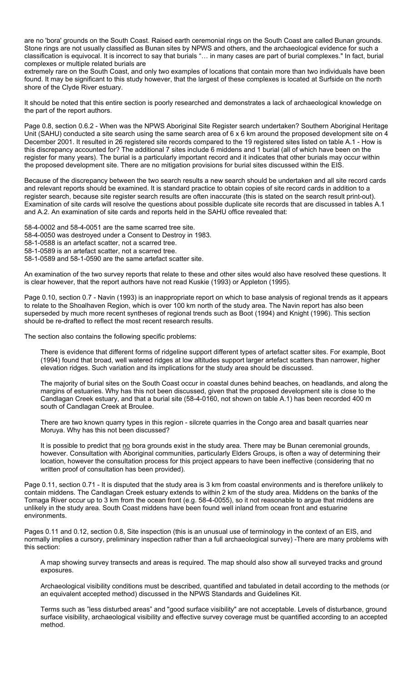are no 'bora' grounds on the South Coast. Raised earth ceremonial rings on the South Coast are called Bunan grounds. Stone rings are not usually classified as Bunan sites by NPWS and others, and the archaeological evidence for such a classification is equivocal. It is incorrect to say that burials "… in many cases are part of burial complexes." In fact, burial complexes or multiple related burials are

extremely rare on the South Coast, and only two examples of locations that contain more than two individuals have been found. It may be significant to this study however, that the largest of these complexes is located at Surfside on the north shore of the Clyde River estuary.

It should be noted that this entire section is poorly researched and demonstrates a lack of archaeological knowledge on the part of the report authors.

Page 0.8, section 0.6.2 - When was the NPWS Aboriginal Site Register search undertaken? Southern Aboriginal Heritage Unit (SAHU) conducted a site search using the same search area of 6 x 6 km around the proposed development site on 4 December 2001. It resulted in 26 registered site records compared to the 19 registered sites listed on table A.1 - How is this discrepancy accounted for? The additional 7 sites include 6 middens and 1 burial (all of which have been on the register for many years). The burial is a particularly important record and it indicates that other burials may occur within the proposed development site. There are no mitigation provisions for burial sites discussed within the EIS.

Because of the discrepancy between the two search results a new search should be undertaken and all site record cards and relevant reports should be examined. It is standard practice to obtain copies of site record cards in addition to a register search, because site register search results are often inaccurate (this is stated on the search result print-out). Examination of site cards will resolve the questions about possible duplicate site records that are discussed in tables A.1 and A.2. An examination of site cards and reports held in the SAHU office revealed that:

58-4-0002 and 58-4-0051 are the same scarred tree site. 58-4-0050 was destroyed under a Consent to Destroy in 1983. 58-1-0588 is an artefact scatter, not a scarred tree. 58-1-0589 is an artefact scatter, not a scarred tree. 58-1-0589 and 58-1-0590 are the same artefact scatter site.

An examination of the two survey reports that relate to these and other sites would also have resolved these questions. It is clear however, that the report authors have not read Kuskie (1993) or Appleton (1995).

Page 0.10, section 0.7 - Navin (1993) is an inappropriate report on which to base analysis of regional trends as it appears to relate to the Shoalhaven Region, which is over 100 km north of the study area. The Navin report has also been superseded by much more recent syntheses of regional trends such as Boot (1994) and Knight (1996). This section should be re-drafted to reflect the most recent research results.

The section also contains the following specific problems:

There is evidence that different forms of ridgeline support different types of artefact scatter sites. For example, Boot (1994) found that broad, well watered ridges at low altitudes support larger artefact scatters than narrower, higher elevation ridges. Such variation and its implications for the study area should be discussed.

The majority of burial sites on the South Coast occur in coastal dunes behind beaches, on headlands, and along the margins of estuaries. Why has this not been discussed, given that the proposed development site is close to the Candlagan Creek estuary, and that a burial site (58-4-0160, not shown on table A.1) has been recorded 400 m south of Candlagan Creek at Broulee.

There are two known quarry types in this region - silcrete quarries in the Congo area and basalt quarries near Moruya. Why has this not been discussed?

It is possible to predict that no bora grounds exist in the study area. There may be Bunan ceremonial grounds, however. Consultation with Aboriginal communities, particularly Elders Groups, is often a way of determining their location, however the consultation process for this project appears to have been ineffective (considering that no written proof of consultation has been provided).

Page 0.11, section 0.71 - It is disputed that the study area is 3 km from coastal environments and is therefore unlikely to contain middens. The Candlagan Creek estuary extends to within 2 km of the study area. Middens on the banks of the Tomaga River occur up to 3 km from the ocean front (e.g. 58-4-0055), so it not reasonable to argue that middens are unlikely in the study area. South Coast middens have been found well inland from ocean front and estuarine environments.

Pages 0.11 and 0.12, section 0.8, Site inspection (this is an unusual use of terminology in the context of an EIS, and normally implies a cursory, preliminary inspection rather than a full archaeological survey) -There are many problems with this section:

A map showing survey transects and areas is required. The map should also show all surveyed tracks and ground exposures.

Archaeological visibility conditions must be described, quantified and tabulated in detail according to the methods (or an equivalent accepted method) discussed in the NPWS Standards and Guidelines Kit.

Terms such as "less disturbed areas" and "good surface visibility" are not acceptable. Levels of disturbance, ground surface visibility, archaeological visibility and effective survey coverage must be quantified according to an accepted method.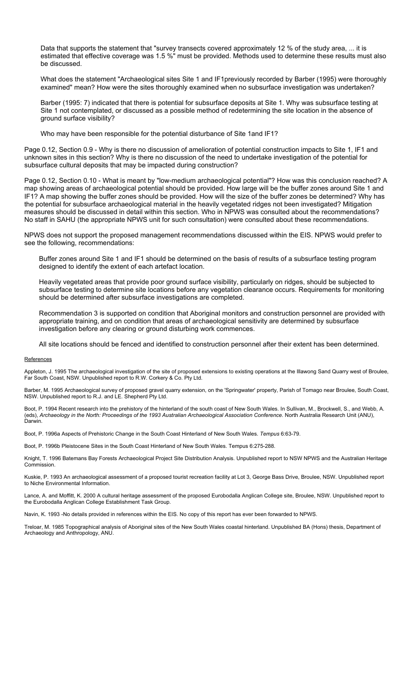Data that supports the statement that "survey transects covered approximately 12 % of the study area, ... it is estimated that effective coverage was 1.5 %" must be provided. Methods used to determine these results must also be discussed.

What does the statement "Archaeological sites Site 1 and IF1previously recorded by Barber (1995) were thoroughly examined" mean? How were the sites thoroughly examined when no subsurface investigation was undertaken?

Barber (1995: 7) indicated that there is potential for subsurface deposits at Site 1. Why was subsurface testing at Site 1 not contemplated, or discussed as a possible method of redetermining the site location in the absence of ground surface visibility?

Who may have been responsible for the potential disturbance of Site 1and IF1?

Page 0.12, Section 0.9 - Why is there no discussion of amelioration of potential construction impacts to Site 1, IF1 and unknown sites in this section? Why is there no discussion of the need to undertake investigation of the potential for subsurface cultural deposits that may be impacted during construction?

Page 0.12, Section 0.10 - What is meant by "low-medium archaeological potential"? How was this conclusion reached? A map showing areas of archaeological potential should be provided. How large will be the buffer zones around Site 1 and IF1? A map showing the buffer zones should be provided. How will the size of the buffer zones be determined? Why has the potential for subsurface archaeological material in the heavily vegetated ridges not been investigated? Mitigation measures should be discussed in detail within this section. Who in NPWS was consulted about the recommendations? No staff in SAHU (the appropriate NPWS unit for such consultation) were consulted about these recommendations.

NPWS does not support the proposed management recommendations discussed within the EIS. NPWS would prefer to see the following, recommendations:

Buffer zones around Site 1 and IF1 should be determined on the basis of results of a subsurface testing program designed to identify the extent of each artefact location.

Heavily vegetated areas that provide poor ground surface visibility, particularly on ridges, should be subjected to subsurface testing to determine site locations before any vegetation clearance occurs. Requirements for monitoring should be determined after subsurface investigations are completed.

Recommendation 3 is supported on condition that Aboriginal monitors and construction personnel are provided with appropriate training, and on condition that areas of archaeological sensitivity are determined by subsurface investigation before any clearing or ground disturbing work commences.

All site locations should be fenced and identified to construction personnel after their extent has been determined.

#### **References**

Appleton, J. 1995 The archaeological investigation of the site of proposed extensions to existing operations at the Illawong Sand Quarry west of Broulee, Far South Coast, NSW. Unpublished report to R.W. Corkery & Co. Pty Ltd.

Barber, M. 1995 Archaeological survey of proposed gravel quarry extension, on the 'Springwater' property, Parish of Tomago near Broulee, South Coast, NSW. Unpublished report to R.J. and LE. Shepherd Pty Ltd.

Boot, P. 1994 Recent research into the prehistory of the hinterland of the south coast of New South Wales. In Sullivan, M., Brockwell, S., and Webb, A. (eds), *Archaeology in the North: Proceedings of the 1993 Australian Archaeological Association Conference.* North Australia Research Unit (ANU), Darwin.

Boot, P. 1996a Aspects of Prehistoric Change in the South Coast Hinterland of New South Wales. *Tempus* 6:63-79.

Boot, P. 1996b Pleistocene Sites in the South Coast Hinterland of New South Wales. Tempus 6:275-288.

Knight, T. 1996 Batemans Bay Forests Archaeological Project Site Distribution Analysis. Unpublished report to NSW NPWS and the Australian Heritage Commission.

Kuskie, P. 1993 An archaeological assessment of a proposed tourist recreation facility at Lot 3, George Bass Drive, Broulee, NSW. Unpublished report to Niche Environmental Information.

Lance, A. and Moffitt, K. 2000 A cultural heritage assessment of the proposed Eurobodalla Anglican College site, Broulee, NSW. Unpublished report to the Eurobodalla Anglican College Establishment Task Group.

Navin, K. 1993 -No details provided in references within the EIS. No copy of this report has ever been forwarded to NPWS.

Treloar, M. 1985 Topographical analysis of Aboriginal sites of the New South Wales coastal hinterland. Unpublished BA (Hons) thesis, Department of Archaeology and Anthropology, ANU.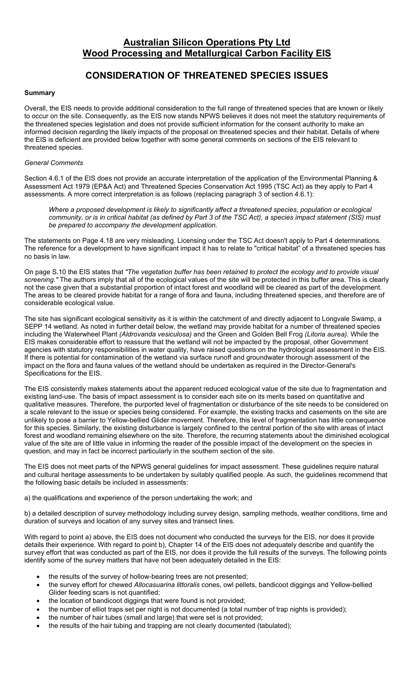# **Australian Silicon Operations Pty Ltd Wood Processing and Metallurgical Carbon Facility EIS**

# **CONSIDERATION OF THREATENED SPECIES ISSUES**

## **Summary**

Overall, the EIS needs to provide additional consideration to the full range of threatened species that are known or likely to occur on the site. Consequently, as the EIS now stands NPWS believes it does not meet the statutory requirements of the threatened species legislation and does not provide sufficient information for the consent authority to make an informed decision regarding the likely impacts of the proposal on threatened species and their habitat. Details of where the EIS is deficient are provided below together with some general comments on sections of the EIS relevant to threatened species.

## *General Comments*

Section 4.6.1 of the EIS does not provide an accurate interpretation of the application of the Environmental Planning & Assessment Act 1979 (EP&A Act) and Threatened Species Conservation Act 1995 (TSC Act) as they apply to Part 4 assessments. A more correct interpretation is as follows (replacing paragraph 3 of section 4.6.1):

*Where a proposed development is likely to significantly affect a threatened species, population or ecological community, or is in critical habitat (as defined by Part 3 of the TSC Act), a species impact statement (SIS) must be prepared to accompany the development application.* 

The statements on Page 4.18 are very misleading. Licensing under the TSC Act doesn't apply to Part 4 determinations. The reference for a development to have significant impact it has to relate to "critical habitat" of a threatened species has no basis in law.

On page S.10 the EIS states that *"The vegetation buffer has been retained to protect the ecology and to provide visual screening."* The authors imply that all of the ecological values of the site will be protected in this buffer area. This is clearly not the case given that a substantial proportion of intact forest and woodland will be cleared as part of the development. The areas to be cleared provide habitat for a range of flora and fauna, including threatened species, and therefore are of considerable ecological value.

The site has significant ecological sensitivity as it is within the catchment of and directly adjacent to Longvale Swamp, a SEPP 14 wetland. As noted in further detail below, the wetland may provide habitat for a number of threatened species including the Waterwheel Plant *(Aldrovanda vesiculosa)* and the Green and Golden Bell Frog *(Litoria aurea).* While the EIS makes considerable effort to reassure that the wetland will not be impacted by the proposal, other Government agencies with statutory responsibilities in water quality, have raised questions on the hydrological assessment in the EIS. If there is potential for contamination of the wetland via surface runoff and groundwater thorough assessment of the impact on the flora and fauna values of the wetland should be undertaken as required in the Director-General's Specifications for the EIS.

The EIS consistently makes statements about the apparent reduced ecological value of the site due to fragmentation and existing land-use. The basis of impact assessment is to consider each site on its merits based on quantitative and qualitative measures. Therefore, the purported level of fragmentation or disturbance of the site needs to be considered on a scale relevant to the issue or species being considered. For example, the existing tracks and casements on the site are unlikely to pose a barrier to Yellow-bellied Glider movement. Therefore, this level of fragmentation has little consequence for this species. Similarly, the existing disturbance is largely confined to the central portion of the site with areas of intact forest and woodland remaining elsewhere on the site. Therefore, the recurring statements about the diminished ecological value of the site are of little value in informing the reader of the possible impact of the development on the species in question, and may in fact be incorrect particularly in the southern section of the site.

The EIS does not meet parts of the NPWS general guidelines for impact assessment. These guidelines require natural and cultural heritage assessments to be undertaken by suitably qualified people. As such, the guidelines recommend that the following basic details be included in assessments:

a) the qualifications and experience of the person undertaking the work; and

b) a detailed description of survey methodology including survey design, sampling methods, weather conditions, time and duration of surveys and location of any survey sites and transect lines.

With regard to point a) above, the EIS does not document who conducted the surveys for the EIS, nor does it provide details their experience. With regard to point b), Chapter 14 of the EIS does not adequately describe and quantify the survey effort that was conducted as part of the EIS, nor does it provide the full results of the surveys. The following points identify some of the survey matters that have not been adequately detailed in the EIS:

- the results of the survey of hollow-bearing trees are not presented;
- the survey effort for chewed *Allocasuarina littoralis* cones, owl pellets, bandicoot diggings and Yellow-bellied Glider feeding scars is not quantified;
- the location of bandicoot diggings that were found is not provided;
- the number of elliot traps set per night is not documented (a total number of trap nights is provided);
- the number of hair tubes (small and large) that were set is not provided;
- the results of the hair tubing and trapping are not clearly documented (tabulated);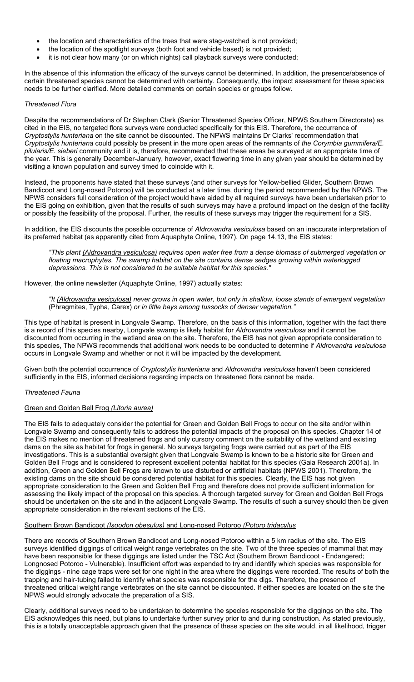- the location and characteristics of the trees that were stag-watched is not provided;
- the location of the spotlight surveys (both foot and vehicle based) is not provided;
- it is not clear how many (or on which nights) call playback surveys were conducted;

In the absence of this information the efficacy of the surveys cannot be determined. In addition, the presence/absence of certain threatened species cannot be determined with certainty. Consequently, the impact assessment for these species needs to be further clarified. More detailed comments on certain species or groups follow.

# *Threatened Flora*

Despite the recommendations of Dr Stephen Clark (Senior Threatened Species Officer, NPWS Southern Directorate) as cited in the EIS, no targeted flora surveys were conducted specifically for this EIS. Therefore, the occurrence of *Cryptostylis hunteriana* on the site cannot be discounted. The NPWS maintains Dr Clarks' recommendation that *Cryptostylis hunteriana* could possibly be present in the more open areas of the remnants of *the Corymbia gummifera/E. pilularis/E. sieberi* community and it is, therefore, recommended that these areas be surveyed at an appropriate time of the year. This is generally December-January, however, exact flowering time in any given year should be determined by visiting a known population and survey timed to coincide with it.

Instead, the proponents have stated that these surveys (and other surveys for Yellow-bellied Glider, Southern Brown Bandicoot and Long-nosed Potoroo) will be conducted at a later time, during the period recommended by the NPWS. The NPWS considers full consideration of the project would have aided by all required surveys have been undertaken prior to the EIS going on exhibition, given that the results of such surveys may have a profound impact on the design of the facility or possibly the feasibility of the proposal. Further, the results of these surveys may trigger the requirement for a SIS.

In addition, the EIS discounts the possible occurrence of *Aldrovandra vesiculosa* based on an inaccurate interpretation of its preferred habitat (as apparently cited from Aquaphyte Online, 1997). On page 14.13, the EIS states:

*"This plant (Aldrovandra vesiculosa) requires open water free from a dense biomass of submerged vegetation or floating macrophytes. The swamp habitat on the site contains dense sedges growing within waterlogged depressions. This is not considered to be suitable habitat for this species."* 

However, the online newsletter (Aquaphyte Online, 1997) actually states:

*"It (Aldrovandra vesiculosa) never grows in open water, but only in shallow, loose stands of emergent vegetation*  (Phragmites, Typha, Carex) *or in little bays among tussocks of denser vegetation."*

This type of habitat is present in Longvale Swamp. Therefore, on the basis of this information, together with the fact there is a record of this species nearby, Longvale swamp is likely habitat for *Aldrovandra vesiculosa* and it cannot be discounted from occurring in the wetland area on the site. Therefore, the EIS has not given appropriate consideration to this species, The NPWS recommends that additional work needs to be conducted to determine if *Aldrovandra vesiculosa*  occurs in Longvale Swamp and whether or not it will be impacted by the development.

Given both the potential occurrence of *Cryptostylis hunteriana* and *Aldrovandra vesiculosa* haven't been considered sufficiently in the EIS, informed decisions regarding impacts on threatened flora cannot be made.

# *Threatened Fauna*

# Green and Golden Bell Frog *(Litoria aurea)*

The EIS fails to adequately consider the potential for Green and Golden Bell Frogs to occur on the site and/or within Longvale Swamp and consequently fails to address the potential impacts of the proposal on this species. Chapter 14 of the EIS makes no mention of threatened frogs and only cursory comment on the suitability of the wetland and existing dams on the site as habitat for frogs in general. No surveys targeting frogs were carried out as part of the EIS investigations. This is a substantial oversight given that Longvale Swamp is known to be a historic site for Green and Golden Bell Frogs and is considered to represent excellent potential habitat for this species (Gaia Research 2001a). In addition, Green and Golden Bell Frogs are known to use disturbed or artificial habitats (NPWS 2001). Therefore, the existing dams on the site should be considered potential habitat for this species. Clearly, the EIS has not given appropriate consideration to the Green and Golden Bell Frog and therefore does not provide sufficient information for assessing the likely impact of the proposal on this species. A thorough targeted survey for Green and Golden Bell Frogs should be undertaken on the site and in the adjacent Longvale Swamp. The results of such a survey should then be given appropriate consideration in the relevant sections of the EIS.

# Southern Brown Bandicoot *(Isoodon obesulus)* and Long-nosed Potoroo *(Potoro tridacylus*

There are records of Southern Brown Bandicoot and Long-nosed Potoroo within a 5 km radius of the site. The EIS surveys identified diggings of critical weight range vertebrates on the site. Two of the three species of mammal that may have been responsible for these diggings are listed under the TSC Act (Southern Brown Bandicoot - Endangered; Longnosed Potoroo - Vulnerable). Insufficient effort was expended to try and identify which species was responsible for the diggings - nine cage traps were set for one night in the area where the diggings were recorded. The results of both the trapping and hair-tubing failed to identify what species was responsible for the digs. Therefore, the presence of threatened critical weight range vertebrates on the site cannot be discounted. If either species are located on the site the NPWS would strongly advocate the preparation of a SIS.

Clearly, additional surveys need to be undertaken to determine the species responsible for the diggings on the site. The EIS acknowledges this need, but plans to undertake further survey prior to and during construction. As stated previously, this is a totally unacceptable approach given that the presence of these species on the site would, in all likelihood, trigger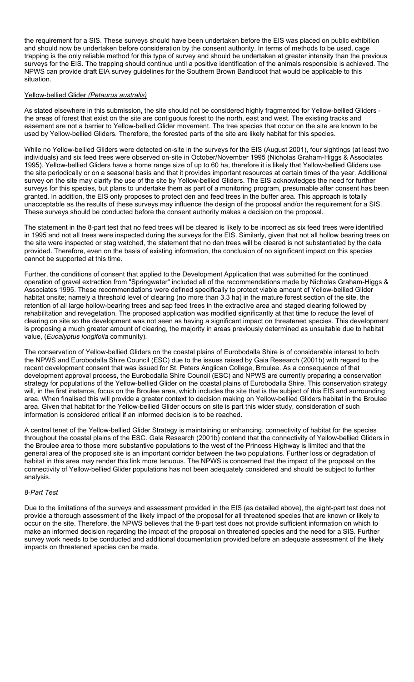the requirement for a SIS. These surveys should have been undertaken before the EIS was placed on public exhibition and should now be undertaken before consideration by the consent authority. In terms of methods to be used, cage trapping is the only reliable method for this type of survey and should be undertaken at greater intensity than the previous surveys for the EIS. The trapping should continue until a positive identification of the animals responsible is achieved. The NPWS can provide draft EIA survey guidelines for the Southern Brown Bandicoot that would be applicable to this situation.

## Yellow-bellied Glider *(Petaurus australis)*

As stated elsewhere in this submission, the site should not be considered highly fragmented for Yellow-bellied Gliders the areas of forest that exist on the site are contiguous forest to the north, east and west. The existing tracks and easement are not a barrier to Yellow-bellied Glider movement. The tree species that occur on the site are known to be used by Yellow-bellied Gliders. Therefore, the forested parts of the site are likely habitat for this species.

While no Yellow-bellied Gliders were detected on-site in the surveys for the EIS (August 2001), four sightings (at least two individuals) and six feed trees were observed on-site in October/November 1995 (Nicholas Graham-Higgs & Associates 1995). Yellow-bellied Gliders have a home range size of up to 60 ha, therefore it is likely that Yellow-bellied Gliders use the site periodically or on a seasonal basis and that it provides important resources at certain times of the year. Additional survey on the site may clarify the use of the site by Yellow-bellied Gliders. The EIS acknowledges the need for further surveys for this species, but plans to undertake them as part of a monitoring program, presumable after consent has been granted. In addition, the EIS only proposes to protect den and feed trees in the buffer area. This approach is totally unacceptable as the results of these surveys may influence the design of the proposal and/or the requirement for a SIS. These surveys should be conducted before the consent authority makes a decision on the proposal.

The statement in the 8-part test that no feed trees will be cleared is likely to be incorrect as six feed trees were identified in 1995 and not all trees were inspected during the surveys for the EIS. Similarly, given that not all hollow bearing trees on the site were inspected or stag watched, the statement that no den trees will be cleared is not substantiated by the data provided. Therefore, even on the basis of existing information, the conclusion of no significant impact on this species cannot be supported at this time.

Further, the conditions of consent that applied to the Development Application that was submitted for the continued operation of gravel extraction from "Springwater" included all of the recommendations made by Nicholas Graham-Higgs & Associates 1995. These recommendations were defined specifically to protect viable amount of Yellow-bellied Glider habitat onsite; namely a threshold level of clearing (no more than 3.3 ha) in the mature forest section of the site, the retention of all large hollow-bearing trees and sap feed trees in the extractive area and staged clearing followed by rehabilitation and revegetation. The proposed application was modified significantly at that time to reduce the level of clearing on site so the development was not seen as having a significant impact on threatened species. This development is proposing a much greater amount of clearing, the majority in areas previously determined as unsuitable due to habitat value, (*Eucalyptus longifolia* community).

The conservation of Yellow-bellied Gliders on the coastal plains of Eurobodalla Shire is of considerable interest to both the NPWS and Eurobodalla Shire Council (ESC) due to the issues raised by Gaia Research (2001b) with regard to the recent development consent that was issued for St. Peters Anglican College, Broulee. As a consequence of that development approval process, the Eurobodalla Shire Council (ESC) and NPWS are currently preparing a conservation strategy for populations of the Yellow-bellied Glider on the coastal plains of Eurobodalla Shire. This conservation strategy will, in the first instance, focus on the Broulee area, which includes the site that is the subject of this EIS and surrounding area. When finalised this will provide a greater context to decision making on Yellow-bellied Gliders habitat in the Broulee area. Given that habitat for the Yellow-bellied Glider occurs on site is part this wider study, consideration of such information is considered critical if an informed decision is to be reached.

A central tenet of the Yellow-bellied Glider Strategy is maintaining or enhancing, connectivity of habitat for the species throughout the coastal plains of the ESC. Gala Research (2001b) contend that the connectivity of Yellow-bellied Gliders in the Broulee area to those more substantive populations to the west of the Princess Highway is limited and that the general area of the proposed site is an important corridor between the two populations. Further loss or degradation of habitat in this area may render this link more tenuous. The NPWS is concerned that the impact of the proposal on the connectivity of Yellow-bellied Glider populations has not been adequately considered and should be subject to further analysis.

## *8-Part Test*

Due to the limitations of the surveys and assessment provided in the EIS (as detailed above), the eight-part test does not provide a thorough assessment of the likely impact of the proposal for all threatened species that are known or likely to occur on the site. Therefore, the NPWS believes that the 8-part test does not provide sufficient information on which to make an informed decision regarding the impact of the proposal on threatened species and the need for a SIS. Further survey work needs to be conducted and additional documentation provided before an adequate assessment of the likely impacts on threatened species can be made.